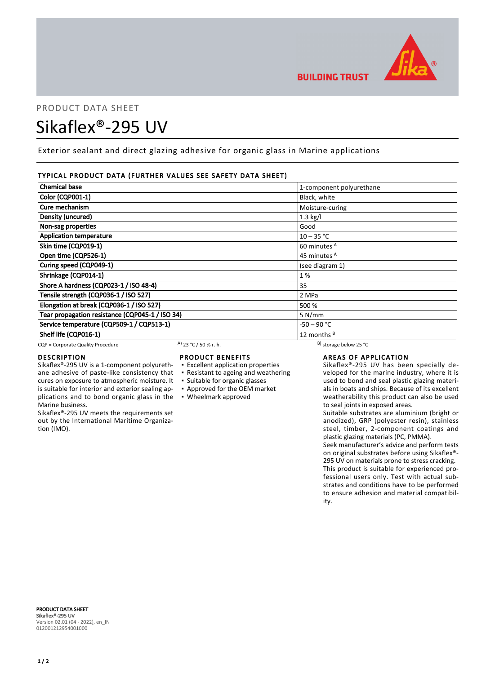

# PRODUCT DATA SHEET Sikaflex®-295 UV

Exterior sealant and direct glazing adhesive for organic glass in Marine applications

# TYPICAL PRODUCT DATA (FURTHER VALUES SEE SAFETY DATA SHEET)

| <b>Chemical base</b>                            |                       | 1-component polyurethane     |  |
|-------------------------------------------------|-----------------------|------------------------------|--|
| <b>Color (CQP001-1)</b>                         |                       | Black, white                 |  |
| Cure mechanism                                  |                       | Moisture-curing              |  |
| Density (uncured)                               |                       | $1.3$ kg/l                   |  |
| Non-sag properties                              |                       | Good                         |  |
| <b>Application temperature</b>                  |                       | $10 - 35 °C$                 |  |
| Skin time (CQP019-1)                            |                       | 60 minutes <sup>A</sup>      |  |
| Open time (CQP526-1)                            |                       | 45 minutes <sup>A</sup>      |  |
| Curing speed (CQP049-1)                         |                       | (see diagram 1)              |  |
| Shrinkage (CQP014-1)                            |                       | 1%                           |  |
| Shore A hardness (CQP023-1 / ISO 48-4)          |                       | 35                           |  |
| Tensile strength (CQP036-1 / ISO 527)           |                       | 2 MPa                        |  |
| Elongation at break (CQP036-1 / ISO 527)        |                       | 500 %                        |  |
| Tear propagation resistance (CQP045-1 / ISO 34) |                       | 5 N/mm                       |  |
| Service temperature (CQP509-1 / CQP513-1)       |                       | -50 – 90 °C                  |  |
| Shelf life (CQP016-1)                           |                       | 12 months <sup>B</sup>       |  |
| CQP = Corporate Quality Procedure               | A) 23 °C / 50 % r. h. | $^{B}$ ) storage below 25 °C |  |

cures on exposure to atmospheric moisture. It is suitable for interior and exterior sealing ap-

Sikaflex®-295 UV meets the requirements set out by the International Maritime Organiza-

# DESCRIPTION

Marine business.

tion (IMO).

# PRODUCT BENEFITS

- Sikaflex®-295 UV is a 1-component polyurethane adhesive of paste-like consistency that ▪ Excellent application properties ▪ Resistant to ageing and weathering
	-
	- Suitable for organic glasses
	- Approved for the OEM market

# plications and to bond organic glass in the ▪ Wheelmark approved

# AREAS OF APPLICATION

Sikaflex®-295 UV has been specially developed for the marine industry, where it is used to bond and seal plastic glazing materials in boats and ships. Because of its excellent weatherability this product can also be used to seal joints in exposed areas.

Suitable substrates are aluminium (bright or anodized), GRP (polyester resin), stainless steel, timber, 2-component coatings and plastic glazing materials (PC, PMMA).

Seek manufacturer's advice and perform tests on original substrates before using Sikaflex®- 295 UV on materials prone to stress cracking. This product is suitable for experienced professional users only. Test with actual substrates and conditions have to be performed to ensure adhesion and material compatibility.

PRODUCT DATA SHEET Sikaflex®-295 UV Version 02.01 (04 - 2022), en\_IN 012001212954001000